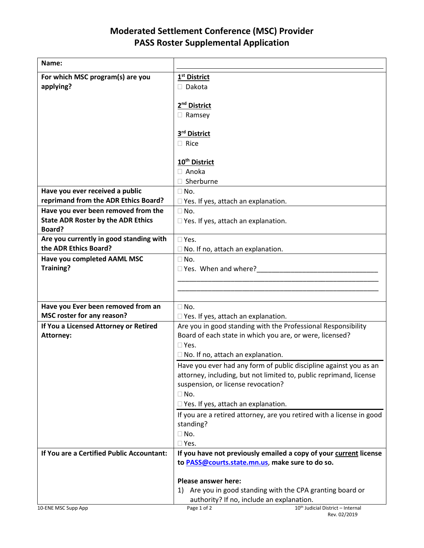## **Moderated Settlement Conference (MSC) Provider PASS Roster Supplemental Application**

| Name:                                               |                                                                       |
|-----------------------------------------------------|-----------------------------------------------------------------------|
| For which MSC program(s) are you                    | 1 <sup>st</sup> District                                              |
| applying?                                           | $\Box$ Dakota                                                         |
|                                                     |                                                                       |
|                                                     | 2 <sup>nd</sup> District                                              |
|                                                     | $\Box$ Ramsey                                                         |
|                                                     |                                                                       |
|                                                     | 3rd District                                                          |
|                                                     | $\Box$ Rice                                                           |
|                                                     |                                                                       |
|                                                     | 10 <sup>th</sup> District                                             |
|                                                     | $\Box$ Anoka                                                          |
|                                                     | □ Sherburne                                                           |
| Have you ever received a public                     | $\Box$ No.                                                            |
| reprimand from the ADR Ethics Board?                | $\square$ Yes. If yes, attach an explanation.                         |
| Have you ever been removed from the                 | $\square$ No.                                                         |
| <b>State ADR Roster by the ADR Ethics</b><br>Board? | $\Box$ Yes. If yes, attach an explanation.                            |
| Are you currently in good standing with             | $\square$ Yes.                                                        |
| the ADR Ethics Board?                               | $\Box$ No. If no, attach an explanation.                              |
| <b>Have you completed AAML MSC</b>                  | $\Box$ No.                                                            |
| <b>Training?</b>                                    | □ Yes. When and where?                                                |
|                                                     |                                                                       |
|                                                     |                                                                       |
|                                                     |                                                                       |
| Have you Ever been removed from an                  | $\Box$ No.                                                            |
| MSC roster for any reason?                          | $\Box$ Yes. If yes, attach an explanation.                            |
| If You a Licensed Attorney or Retired               | Are you in good standing with the Professional Responsibility         |
| Attorney:                                           | Board of each state in which you are, or were, licensed?              |
|                                                     | $\Box$ Yes.                                                           |
|                                                     | $\Box$ No. If no, attach an explanation.                              |
|                                                     | Have you ever had any form of public discipline against you as an     |
|                                                     | attorney, including, but not limited to, public reprimand, license    |
|                                                     | suspension, or license revocation?                                    |
|                                                     | $\Box$ No.                                                            |
|                                                     | $\Box$ Yes. If yes, attach an explanation.                            |
|                                                     | If you are a retired attorney, are you retired with a license in good |
|                                                     | standing?<br>$\square$ No.                                            |
|                                                     | $\square$ Yes.                                                        |
| If You are a Certified Public Accountant:           | If you have not previously emailed a copy of your current license     |
|                                                     | to PASS@courts.state.mn.us, make sure to do so.                       |
|                                                     |                                                                       |
|                                                     | <b>Please answer here:</b>                                            |
|                                                     | Are you in good standing with the CPA granting board or<br>1)         |
|                                                     | authority? If no, include an explanation.                             |
| 10-ENE MSC Supp App                                 | Page 1 of 2<br>10th Judicial District - Internal                      |